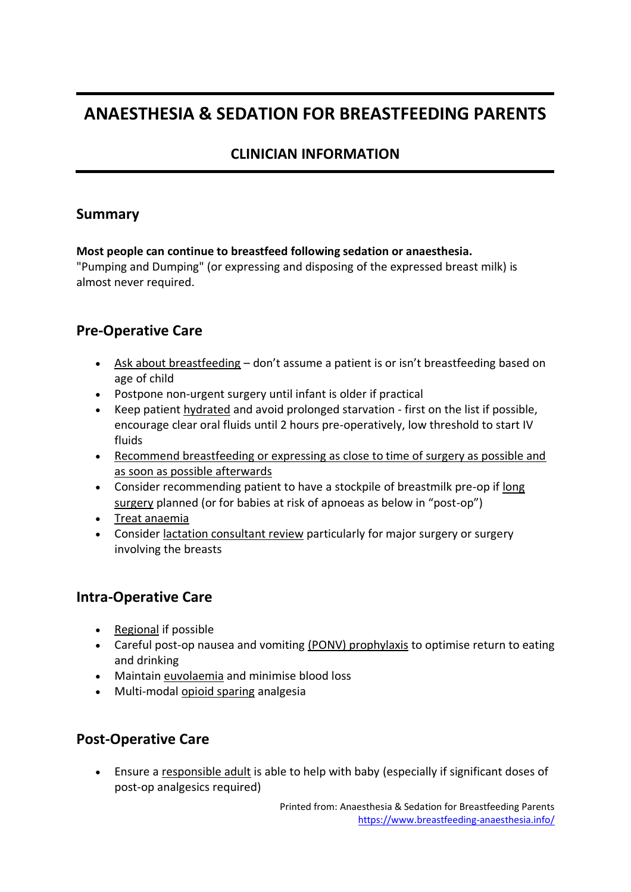# **ANAESTHESIA & SEDATION FOR BREASTFEEDING PARENTS**

## **CLINICIAN INFORMATION**

### **Summary**

### **Most people can continue to breastfeed following sedation or anaesthesia.**

"Pumping and Dumping" (or expressing and disposing of the expressed breast milk) is almost never required.

### **Pre-Operative Care**

- Ask about breastfeeding don't assume a patient is or isn't breastfeeding based on age of child
- Postpone non-urgent surgery until infant is older if practical
- Keep patient hydrated and avoid prolonged starvation first on the list if possible, encourage clear oral fluids until 2 hours pre-operatively, low threshold to start IV fluids
- Recommend breastfeeding or expressing as close to time of surgery as possible and as soon as possible afterwards
- Consider recommending patient to have a stockpile of breastmilk pre-op if long surgery planned (or for babies at risk of apnoeas as below in "post-op")
- Treat anaemia
- Consider lactation consultant review particularly for major surgery or surgery involving the breasts

### **Intra-Operative Care**

- Regional if possible
- Careful post-op nausea and vomiting (PONV) prophylaxis to optimise return to eating and drinking
- Maintain euvolaemia and minimise blood loss
- Multi-modal opioid sparing analgesia

### **Post-Operative Care**

• Ensure a responsible adult is able to help with baby (especially if significant doses of post-op analgesics required)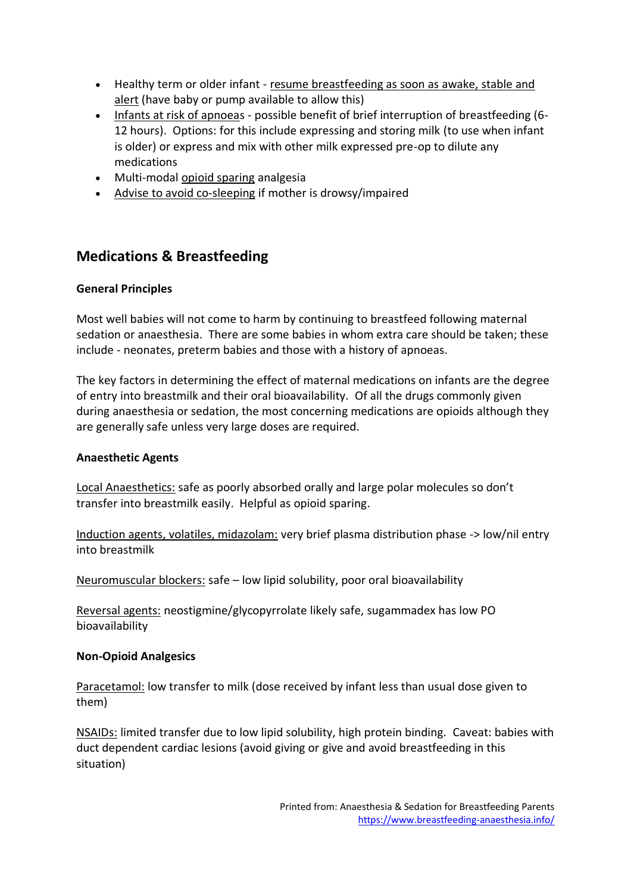- Healthy term or older infant resume breastfeeding as soon as awake, stable and alert (have baby or pump available to allow this)
- Infants at risk of apnoeas possible benefit of brief interruption of breastfeeding (6- 12 hours). Options: for this include expressing and storing milk (to use when infant is older) or express and mix with other milk expressed pre-op to dilute any medications
- Multi-modal opioid sparing analgesia
- Advise to avoid co-sleeping if mother is drowsy/impaired

### **Medications & Breastfeeding**

### **General Principles**

Most well babies will not come to harm by continuing to breastfeed following maternal sedation or anaesthesia. There are some babies in whom extra care should be taken; these include - neonates, preterm babies and those with a history of apnoeas.

The key factors in determining the effect of maternal medications on infants are the degree of entry into breastmilk and their oral bioavailability. Of all the drugs commonly given during anaesthesia or sedation, the most concerning medications are opioids although they are generally safe unless very large doses are required.

#### **Anaesthetic Agents**

Local Anaesthetics: safe as poorly absorbed orally and large polar molecules so don't transfer into breastmilk easily. Helpful as opioid sparing.

Induction agents, volatiles, midazolam: very brief plasma distribution phase -> low/nil entry into breastmilk

Neuromuscular blockers: safe – low lipid solubility, poor oral bioavailability

Reversal agents: neostigmine/glycopyrrolate likely safe, sugammadex has low PO bioavailability

#### **Non-Opioid Analgesics**

Paracetamol: low transfer to milk (dose received by infant less than usual dose given to them)

NSAIDs: limited transfer due to low lipid solubility, high protein binding. Caveat: babies with duct dependent cardiac lesions (avoid giving or give and avoid breastfeeding in this situation)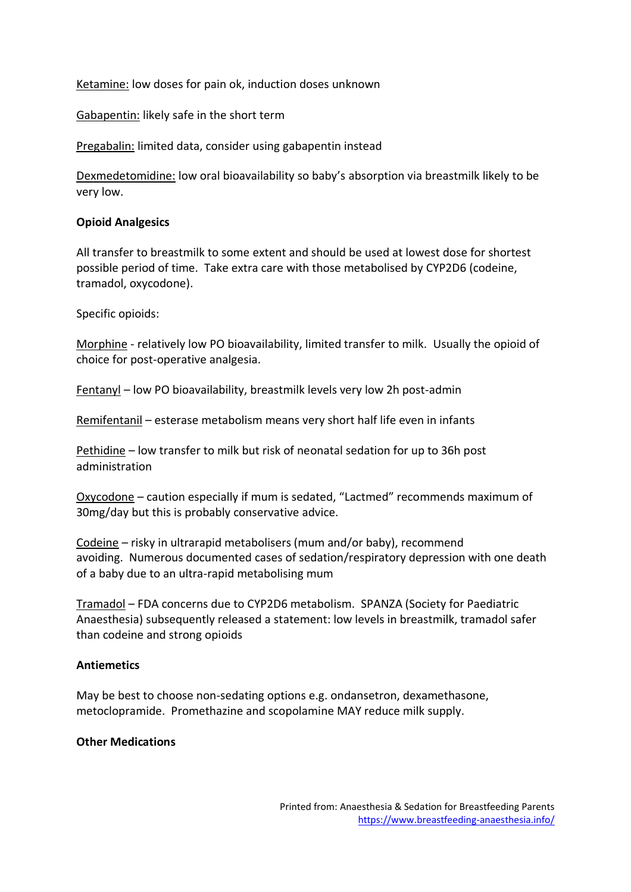Ketamine: low doses for pain ok, induction doses unknown

Gabapentin: likely safe in the short term

Pregabalin: limited data, consider using gabapentin instead

Dexmedetomidine: low oral bioavailability so baby's absorption via breastmilk likely to be very low.

#### **Opioid Analgesics**

All transfer to breastmilk to some extent and should be used at lowest dose for shortest possible period of time. Take extra care with those metabolised by CYP2D6 (codeine, tramadol, oxycodone).

Specific opioids:

Morphine - relatively low PO bioavailability, limited transfer to milk. Usually the opioid of choice for post-operative analgesia.

Fentanyl – low PO bioavailability, breastmilk levels very low 2h post-admin

Remifentanil – esterase metabolism means very short half life even in infants

Pethidine – low transfer to milk but risk of neonatal sedation for up to 36h post administration

Oxycodone – caution especially if mum is sedated, "Lactmed" recommends maximum of 30mg/day but this is probably conservative advice.

Codeine – risky in ultrarapid metabolisers (mum and/or baby), recommend avoiding. Numerous documented cases of sedation/respiratory depression with one death of a baby due to an ultra-rapid metabolising mum

Tramadol – FDA concerns due to CYP2D6 metabolism. SPANZA (Society for Paediatric Anaesthesia) subsequently released a statement: low levels in breastmilk, tramadol safer than codeine and strong opioids

#### **Antiemetics**

May be best to choose non-sedating options e.g. ondansetron, dexamethasone, metoclopramide. Promethazine and scopolamine MAY reduce milk supply.

#### **Other Medications**